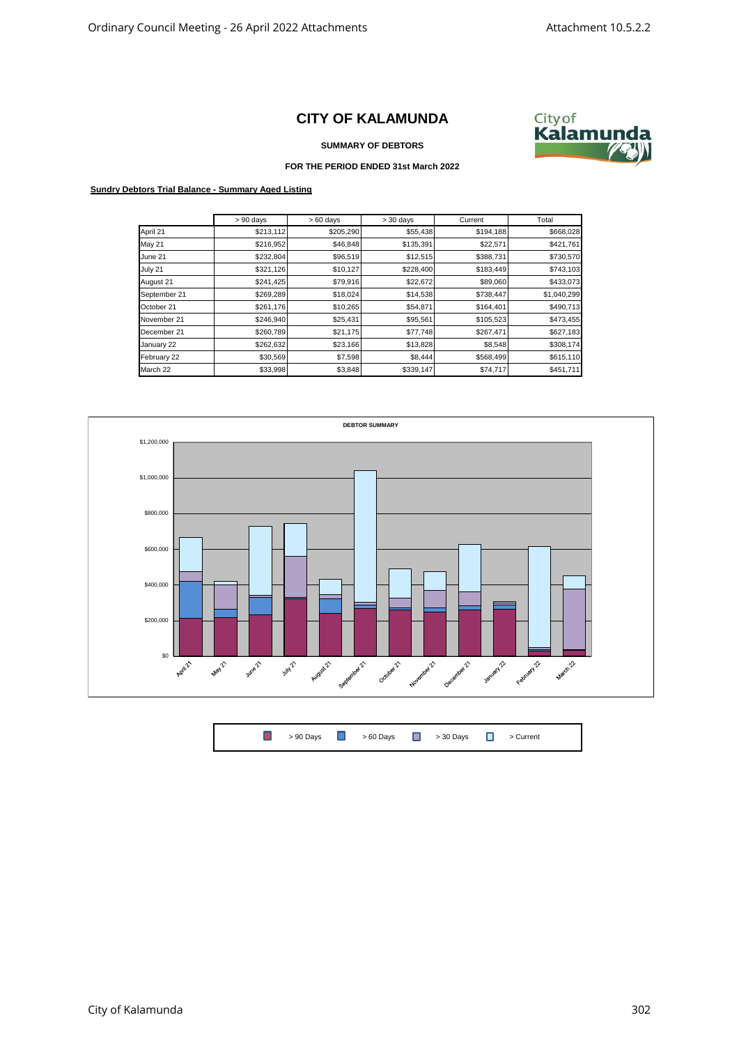## **CITY OF KALAMUNDA**



**SUMMARY OF DEBTORS**

## **FOR THE PERIOD ENDED 31st March 2022**

## **Sundry Debtors Trial Balance - Summary Aged Listing**

|               | $> 90$ days | $>60$ days | $> 30$ days | Current   | Total       |
|---------------|-------------|------------|-------------|-----------|-------------|
| April 21      | \$213,112   | \$205,290  | \$55,438    | \$194,188 | \$668,028   |
| <b>May 21</b> | \$216,952   | \$46,848   | \$135,391   | \$22,571  | \$421,761   |
| June 21       | \$232,804   | \$96,519   | \$12,515    | \$388,731 | \$730,570   |
| July 21       | \$321,126   | \$10,127   | \$228,400   | \$183,449 | \$743,103   |
| August 21     | \$241,425   | \$79,916   | \$22,672    | \$89,060  | \$433,073   |
| September 21  | \$269,289   | \$18,024   | \$14,538    | \$738,447 | \$1,040,299 |
| October 21    | \$261,176   | \$10,265   | \$54,871    | \$164,401 | \$490,713   |
| November 21   | \$246,940   | \$25,431   | \$95,561    | \$105,523 | \$473,455   |
| December 21   | \$260,789   | \$21,175   | \$77,748    | \$267,471 | \$627,183   |
| January 22    | \$262,632   | \$23,166   | \$13,828    | \$8,548   | \$308,174   |
| February 22   | \$30,569    | \$7,598    | \$8,444     | \$568,499 | \$615,110   |
| March 22      | \$33,998    | \$3,848    | \$339,147   | \$74,717  | \$451,711   |



|  | <b>D</b> > 90 Days D > 60 Days D > 30 Days D > Current |  |  |
|--|--------------------------------------------------------|--|--|
|  |                                                        |  |  |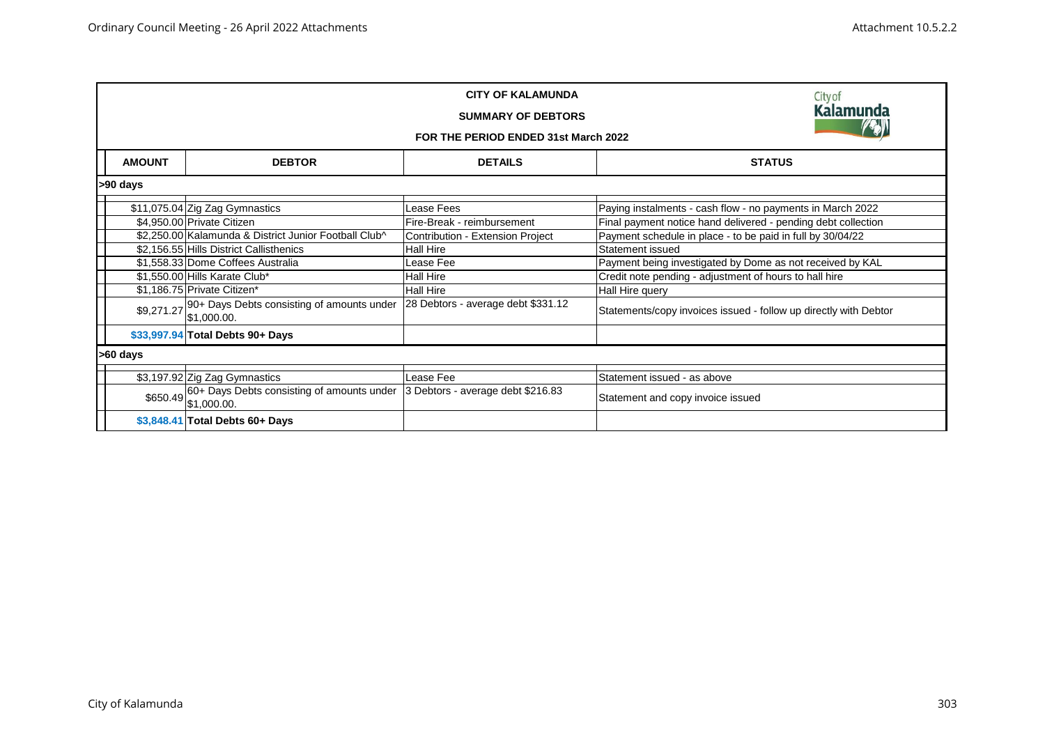|               | Cityof<br><b>Kalamunda</b><br>FOR THE PERIOD ENDED 31st March 2022                                            |                                    |                                                                  |  |  |  |
|---------------|---------------------------------------------------------------------------------------------------------------|------------------------------------|------------------------------------------------------------------|--|--|--|
| <b>AMOUNT</b> | <b>DEBTOR</b>                                                                                                 | <b>DETAILS</b>                     | <b>STATUS</b>                                                    |  |  |  |
| >90 days      |                                                                                                               |                                    |                                                                  |  |  |  |
|               | \$11,075.04 Zig Zag Gymnastics                                                                                | Lease Fees                         | Paying instalments - cash flow - no payments in March 2022       |  |  |  |
|               | \$4,950.00 Private Citizen                                                                                    | Fire-Break - reimbursement         | Final payment notice hand delivered - pending debt collection    |  |  |  |
|               | \$2,250.00 Kalamunda & District Junior Football Club^                                                         | Contribution - Extension Project   | Payment schedule in place - to be paid in full by 30/04/22       |  |  |  |
|               | \$2,156.55 Hills District Callisthenics                                                                       | Hall Hire                          | Statement issued                                                 |  |  |  |
|               | \$1,558.33 Dome Coffees Australia                                                                             | Lease Fee                          | Payment being investigated by Dome as not received by KAL        |  |  |  |
|               | \$1,550.00 Hills Karate Club*                                                                                 | Hall Hire                          | Credit note pending - adjustment of hours to hall hire           |  |  |  |
|               | \$1,186.75 Private Citizen*                                                                                   | Hall Hire                          | Hall Hire query                                                  |  |  |  |
|               | \$9,271.27 90+ Days Debts consisting of amounts under<br>\$1,000.00.                                          | 28 Debtors - average debt \$331.12 | Statements/copy invoices issued - follow up directly with Debtor |  |  |  |
|               | \$33,997.94 Total Debts 90+ Days                                                                              |                                    |                                                                  |  |  |  |
| >60 days      |                                                                                                               |                                    |                                                                  |  |  |  |
|               | \$3,197.92 Zig Zag Gymnastics                                                                                 | Lease Fee                          | Statement issued - as above                                      |  |  |  |
|               | \$650.49 60+ Days Debts consisting of amounts under 3 Debtors - average debt \$216.83<br>\$650.49 \$1,000.00. |                                    | Statement and copy invoice issued                                |  |  |  |
|               | \$3,848.41 Total Debts 60+ Days                                                                               |                                    |                                                                  |  |  |  |